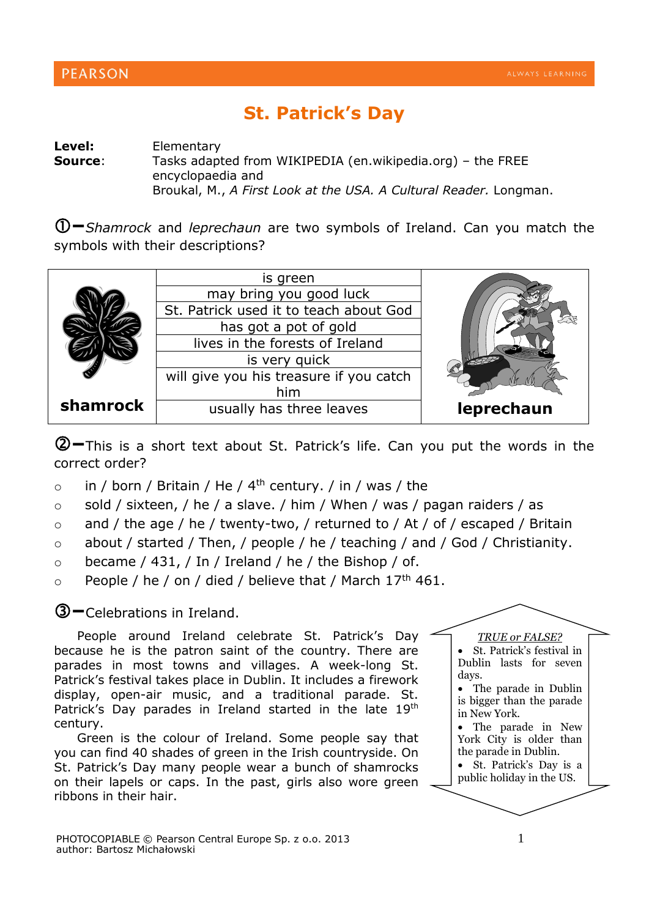## **St. Patrick's Day**

**Level:** Elementary **Source:** Tasks adapted from WIKIPEDIA (en.wikipedia.org) – the FREE encyclopaedia and

Broukal, M., *A First Look at the USA. A Cultural Reader.* Longman.

**–***Shamrock* and *leprechaun* are two symbols of Ireland. Can you match the symbols with their descriptions?

|          | is green                                |            |
|----------|-----------------------------------------|------------|
|          | may bring you good luck                 |            |
|          | St. Patrick used it to teach about God  |            |
|          | has got a pot of gold                   |            |
|          | lives in the forests of Ireland         |            |
|          | is very quick                           |            |
|          | will give you his treasure if you catch |            |
|          | him                                     |            |
| shamrock | usually has three leaves                | leprechaun |

**–**This is a short text about St. Patrick's life. Can you put the words in the correct order?

- $\circ$  in / born / Britain / He / 4<sup>th</sup> century. / in / was / the
- $\circ$  sold / sixteen, / he / a slave. / him / When / was / pagan raiders / as
- $\circ$  and / the age / he / twenty-two, / returned to / At / of / escaped / Britain
- o about / started / Then, / people / he / teaching / and / God / Christianity.
- $\circ$  became / 431, / In / Ireland / he / the Bishop / of.
- $\circ$  People / he / on / died / believe that / March 17<sup>th</sup> 461.

## **–**Celebrations in Ireland.

People around Ireland celebrate St. Patrick's Day because he is the patron saint of the country. There are parades in most towns and villages. A week-long St. Patrick's festival takes place in Dublin. It includes a firework display, open-air music, and a traditional parade. St. Patrick's Day parades in Ireland started in the late 19th century.

Green is the colour of Ireland. Some people say that you can find 40 shades of green in the Irish countryside. On St. Patrick's Day many people wear a bunch of shamrocks on their lapels or caps. In the past, girls also wore green ribbons in their hair.